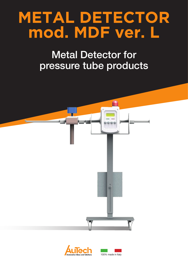## **METAL DETECTOR mod. MDF ver. L**

## Metal Detector for pressure tube products